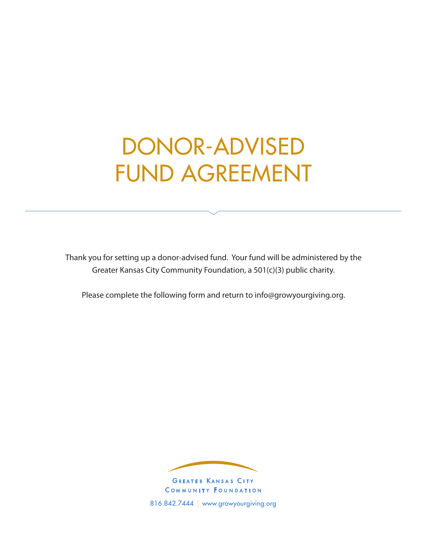# DONOR-ADVISED FUND AGREEMENT

Thank you for setting up a donor-advised fund. Your fund will be administered by the Greater Kansas City Community Foundation, a 501(c)(3) public charity.

Please complete the following form and return to info@growyourgiving.org.



COMMUNITY FOUNDATION 816.842.7444 | www.growyourgiving.org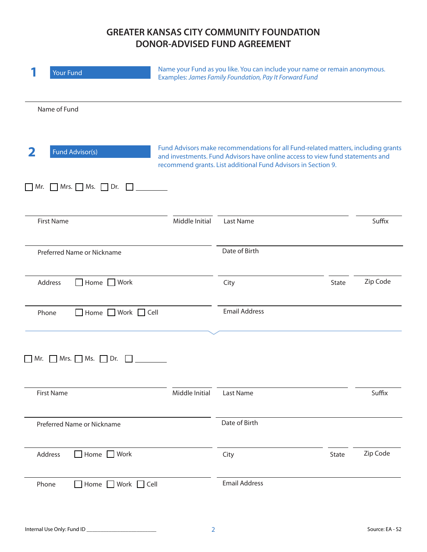# **GREATER KANSAS CITY COMMUNITY FOUNDATION DONOR-ADVISED FUND AGREEMENT**

|                   | <b>Your Fund</b>                                    | Name your Fund as you like. You can include your name or remain anonymous.<br>Examples: James Family Foundation, Pay It Forward Fund |                                                                                                                                                                                                                                     |       |          |
|-------------------|-----------------------------------------------------|--------------------------------------------------------------------------------------------------------------------------------------|-------------------------------------------------------------------------------------------------------------------------------------------------------------------------------------------------------------------------------------|-------|----------|
|                   | Name of Fund                                        |                                                                                                                                      |                                                                                                                                                                                                                                     |       |          |
| 2                 | Fund Advisor(s)                                     |                                                                                                                                      | Fund Advisors make recommendations for all Fund-related matters, including grants<br>and investments. Fund Advisors have online access to view fund statements and<br>recommend grants. List additional Fund Advisors in Section 9. |       |          |
|                   | $\Box$ Mr. $\Box$ Mrs. $\Box$ Ms. $\Box$ Dr. $\Box$ |                                                                                                                                      |                                                                                                                                                                                                                                     |       |          |
| <b>First Name</b> |                                                     | Middle Initial                                                                                                                       | Last Name                                                                                                                                                                                                                           |       | Suffix   |
|                   | Preferred Name or Nickname                          |                                                                                                                                      | Date of Birth                                                                                                                                                                                                                       |       |          |
| Address           | Home Work                                           |                                                                                                                                      | City                                                                                                                                                                                                                                | State | Zip Code |
| Phone             | $\Box$ Home $\Box$ Work $\Box$ Cell                 |                                                                                                                                      | <b>Email Address</b>                                                                                                                                                                                                                |       |          |
| l IMr.            | Mrs. $\Box$ Ms. $\Box$ Dr.                          |                                                                                                                                      |                                                                                                                                                                                                                                     |       |          |
| <b>First Name</b> |                                                     | Middle Initial                                                                                                                       | Last Name                                                                                                                                                                                                                           |       | Suffix   |
|                   | Preferred Name or Nickname                          |                                                                                                                                      | Date of Birth                                                                                                                                                                                                                       |       |          |
| Address           | Home Work                                           |                                                                                                                                      | City                                                                                                                                                                                                                                | State | Zip Code |
| Phone             | Home Work Cell                                      |                                                                                                                                      | <b>Email Address</b>                                                                                                                                                                                                                |       |          |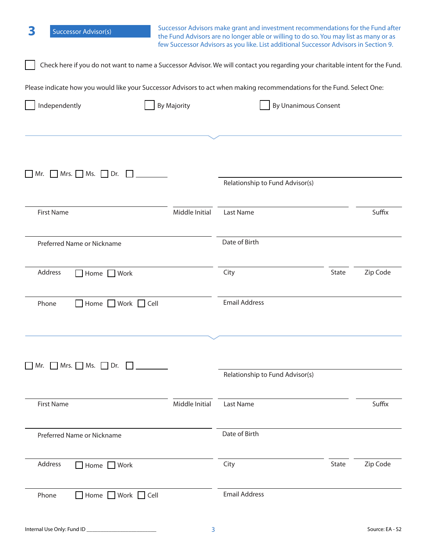| 3<br><b>Successor Advisor(s)</b>                                                                                              | Successor Advisors make grant and investment recommendations for the Fund after<br>the Fund Advisors are no longer able or willing to do so. You may list as many or as<br>few Successor Advisors as you like. List additional Successor Advisors in Section 9. |                                 |                             |          |
|-------------------------------------------------------------------------------------------------------------------------------|-----------------------------------------------------------------------------------------------------------------------------------------------------------------------------------------------------------------------------------------------------------------|---------------------------------|-----------------------------|----------|
| Check here if you do not want to name a Successor Advisor. We will contact you regarding your charitable intent for the Fund. |                                                                                                                                                                                                                                                                 |                                 |                             |          |
| Please indicate how you would like your Successor Advisors to act when making recommendations for the Fund. Select One:       |                                                                                                                                                                                                                                                                 |                                 |                             |          |
| Independently                                                                                                                 | <b>By Majority</b>                                                                                                                                                                                                                                              |                                 | <b>By Unanimous Consent</b> |          |
| $Mrs.$ Ms. Dr.<br>Mr.                                                                                                         |                                                                                                                                                                                                                                                                 | Relationship to Fund Advisor(s) |                             |          |
| <b>First Name</b>                                                                                                             | Middle Initial                                                                                                                                                                                                                                                  | Last Name                       |                             | Suffix   |
| Preferred Name or Nickname                                                                                                    |                                                                                                                                                                                                                                                                 | Date of Birth                   |                             |          |
| Address<br>Home Work                                                                                                          |                                                                                                                                                                                                                                                                 | City                            | State                       | Zip Code |
| Home Work Cell<br>Phone                                                                                                       |                                                                                                                                                                                                                                                                 | <b>Email Address</b>            |                             |          |
| $\Box$ Mr. $\Box$ Mrs. $\Box$ Ms. $\Box$ Dr. $\Box$                                                                           |                                                                                                                                                                                                                                                                 |                                 |                             |          |
|                                                                                                                               |                                                                                                                                                                                                                                                                 | Relationship to Fund Advisor(s) |                             |          |
| <b>First Name</b>                                                                                                             | Middle Initial                                                                                                                                                                                                                                                  | Last Name                       |                             | Suffix   |
| Preferred Name or Nickname                                                                                                    |                                                                                                                                                                                                                                                                 | Date of Birth                   |                             |          |
| Address<br>Home Work                                                                                                          |                                                                                                                                                                                                                                                                 | City                            | State                       | Zip Code |
| $\Box$ Home $\Box$ Work $\Box$ Cell<br>Phone                                                                                  |                                                                                                                                                                                                                                                                 | <b>Email Address</b>            |                             |          |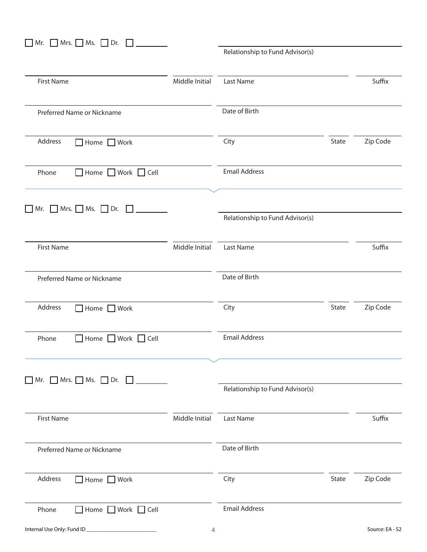| Mr. $Mrs.$ Ms. $Drs.$                                          |                |                                 |       |                 |
|----------------------------------------------------------------|----------------|---------------------------------|-------|-----------------|
|                                                                |                | Relationship to Fund Advisor(s) |       |                 |
| <b>First Name</b>                                              | Middle Initial | Last Name                       |       | Suffix          |
| Preferred Name or Nickname                                     |                | Date of Birth                   |       |                 |
| Address<br>$\Box$ Home $\Box$ Work                             |                | City                            | State | Zip Code        |
| $\Box$ Home $\Box$ Work $\Box$ Cell<br>Phone                   |                | <b>Email Address</b>            |       |                 |
| $\Box$ Mr. $\Box$ Mrs. $\Box$ Ms. $\Box$ Dr. $\Box$            |                | Relationship to Fund Advisor(s) |       |                 |
| <b>First Name</b>                                              | Middle Initial | Last Name                       |       | Suffix          |
| Preferred Name or Nickname                                     |                | Date of Birth                   |       |                 |
| Address<br>Home Work                                           |                | City                            | State | Zip Code        |
| Phone<br>Home Work Cell                                        |                | <b>Email Address</b>            |       |                 |
| Mr. $\Box$ Mrs. $\Box$ Ms. $\Box$ Dr. $\Box$<br>$\blacksquare$ |                |                                 |       |                 |
|                                                                |                | Relationship to Fund Advisor(s) |       |                 |
| <b>First Name</b>                                              | Middle Initial | Last Name                       |       | Suffix          |
| Preferred Name or Nickname                                     |                | Date of Birth                   |       |                 |
| Address<br>$\Box$ Home $\Box$ Work                             |                | City                            | State | Zip Code        |
| Home Work C Cell<br>Phone                                      |                | <b>Email Address</b>            |       |                 |
| Internal Use Only: Fund ID                                     | 4              |                                 |       | Source: EA - S2 |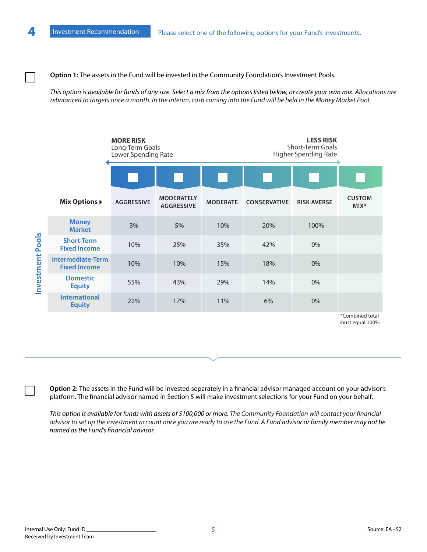**Option 1:** The assets in the Fund will be invested in the Community Foundation's Investment Pools.

*This option is available for funds of any size. Select a mix from the options listed below, or create your own mix. Allocations are rebalanced to targets once a month. In the interim, cash coming into the Fund will be held in the Money Market Pool.*



must equal 100%

**Option 2:** The assets in the Fund will be invested separately in a financial advisor managed account on your advisor's platform. The financial advisor named in Section 5 will make investment selections for your Fund on your behalf.

*This option is available for funds with assets of \$100,000 or more. The Community Foundation will contact your financial advisor to set up the investment account once you are ready to use the Fund. A Fund advisor or family member may not be named as the Fund's financial advisor.*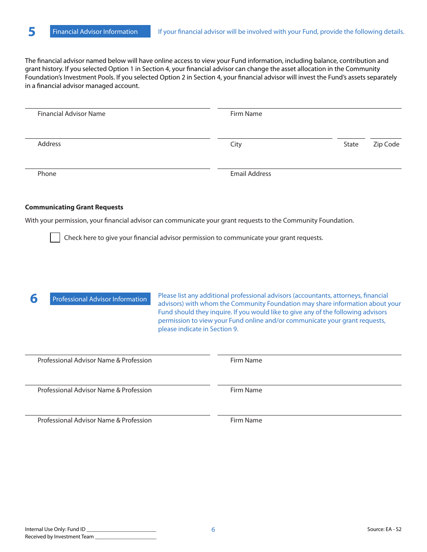The financial advisor named below will have online access to view your Fund information, including balance, contribution and grant history. If you selected Option 1 in Section 4, your financial advisor can change the asset allocation in the Community Foundation's Investment Pools. If you selected Option 2 in Section 4, your financial advisor will invest the Fund's assets separately in a financial advisor managed account.

| <b>Financial Advisor Name</b> | Firm Name            |       |          |
|-------------------------------|----------------------|-------|----------|
| Address                       | City                 | State | Zip Code |
| Phone                         | <b>Email Address</b> |       |          |

#### **Communicating Grant Requests**

With your permission, your financial advisor can communicate your grant requests to the Community Foundation.

Check here to give your financial advisor permission to communicate your grant requests.

**6** Professional Advisor Information

Please list any additional professional advisors (accountants, attorneys, financial advisors) with whom the Community Foundation may share information about your Fund should they inquire. If you would like to give any of the following advisors permission to view your Fund online and/or communicate your grant requests, please indicate in Section 9.

| Professional Advisor Name & Profession | Firm Name |
|----------------------------------------|-----------|
| Professional Advisor Name & Profession | Firm Name |
| Professional Advisor Name & Profession | Firm Name |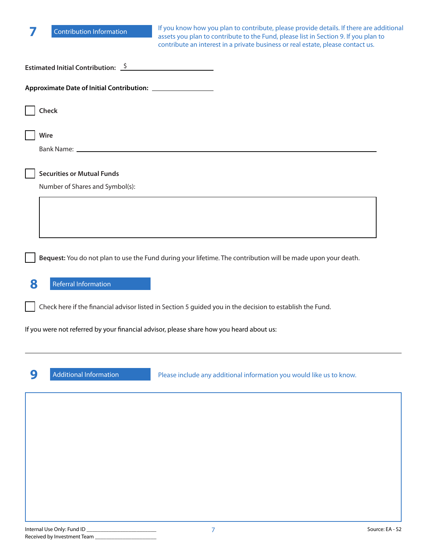| <b>Contribution Information</b>                                                          | If you know how you plan to contribute, please provide details. If there are additional<br>assets you plan to contribute to the Fund, please list in Section 9. If you plan to<br>contribute an interest in a private business or real estate, please contact us. |
|------------------------------------------------------------------------------------------|-------------------------------------------------------------------------------------------------------------------------------------------------------------------------------------------------------------------------------------------------------------------|
| Estimated Initial Contribution: $\frac{\zeta}{\zeta}$                                    |                                                                                                                                                                                                                                                                   |
|                                                                                          |                                                                                                                                                                                                                                                                   |
| Check                                                                                    |                                                                                                                                                                                                                                                                   |
| Wire                                                                                     |                                                                                                                                                                                                                                                                   |
| <b>Securities or Mutual Funds</b><br>Number of Shares and Symbol(s):                     |                                                                                                                                                                                                                                                                   |
|                                                                                          |                                                                                                                                                                                                                                                                   |
|                                                                                          | Bequest: You do not plan to use the Fund during your lifetime. The contribution will be made upon your death.                                                                                                                                                     |
| 8<br>Referral Information                                                                |                                                                                                                                                                                                                                                                   |
|                                                                                          | Check here if the financial advisor listed in Section 5 guided you in the decision to establish the Fund.                                                                                                                                                         |
| If you were not referred by your financial advisor, please share how you heard about us: |                                                                                                                                                                                                                                                                   |
| 9<br><b>Additional Information</b>                                                       | Please include any additional information you would like us to know.                                                                                                                                                                                              |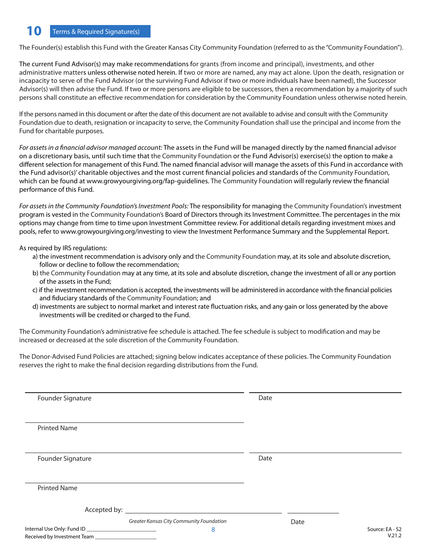# **10** Terms & Required Signature(s)

The Founder(s) establish this Fund with the Greater Kansas City Community Foundation (referred to as the "Community Foundation").

The current Fund Advisor(s) may make recommendations for grants (from income and principal), investments, and other administrative matters unless otherwise noted herein. If two or more are named, any may act alone. Upon the death, resignation or incapacity to serve of the Fund Advisor (or the surviving Fund Advisor if two or more individuals have been named), the Successor Advisor(s) will then advise the Fund. If two or more persons are eligible to be successors, then a recommendation by a majority of such persons shall constitute an effective recommendation for consideration by the Community Foundation unless otherwise noted herein.

If the persons named in this document or after the date of this document are not available to advise and consult with the Community Foundation due to death, resignation or incapacity to serve, the Community Foundation shall use the principal and income from the Fund for charitable purposes.

*For assets in a financial advisor managed account:* The assets in the Fund will be managed directly by the named financial advisor on a discretionary basis, until such time that the Community Foundation or the Fund Advisor(s) exercise(s) the option to make a different selection for management of this Fund. The named financial advisor will manage the assets of this Fund in accordance with the Fund advisor(s)' charitable objectives and the most current financial policies and standards of the Community Foundation, which can be found at www.growyourgiving.org/fap-guidelines. The Community Foundation will regularly review the financial performance of this Fund.

*For assets in the Community Foundation's Investment Pools:* The responsibility for managing the Community Foundation's investment program is vested in the Community Foundation's Board of Directors through its Investment Committee. The percentages in the mix options may change from time to time upon Investment Committee review. For additional details regarding investment mixes and pools, refer to www.growyourgiving.org/investing to view the Investment Performance Summary and the Supplemental Report.

As required by IRS regulations:

- a) the investment recommendation is advisory only and the Community Foundation may, at its sole and absolute discretion, follow or decline to follow the recommendation;
- b) the Community Foundation may at any time, at its sole and absolute discretion, change the investment of all or any portion of the assets in the Fund;
- c) if the investment recommendation is accepted, the investments will be administered in accordance with the financial policies and fiduciary standards of the Community Foundation; and
- d) investments are subject to normal market and interest rate fluctuation risks, and any gain or loss generated by the above investments will be credited or charged to the Fund.

The Community Foundation's administrative fee schedule is attached. The fee schedule is subject to modification and may be increased or decreased at the sole discretion of the Community Foundation.

The Donor-Advised Fund Policies are attached; signing below indicates acceptance of these policies. The Community Foundation reserves the right to make the final decision regarding distributions from the Fund.

| Founder Signature                        | Date |                 |
|------------------------------------------|------|-----------------|
| <b>Printed Name</b>                      |      |                 |
| Founder Signature                        | Date |                 |
| <b>Printed Name</b>                      |      |                 |
|                                          |      |                 |
| Greater Kansas City Community Foundation | Date |                 |
| 8                                        |      | Source: EA - S2 |
| Received by Investment Team              |      | V.21.2          |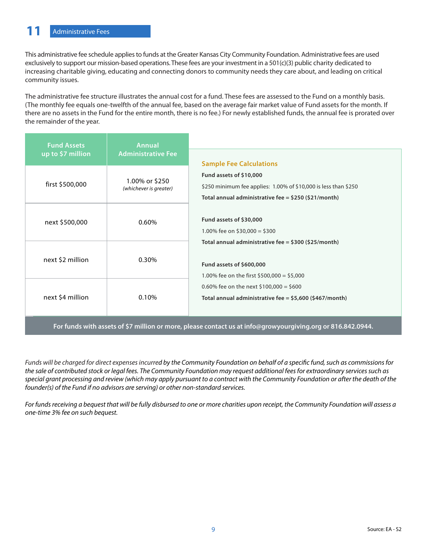This administrative fee schedule applies to funds at the Greater Kansas City Community Foundation. Administrative fees are used exclusively to support our mission-based operations. These fees are your investment in a 501(c)(3) public charity dedicated to increasing charitable giving, educating and connecting donors to community needs they care about, and leading on critical community issues.

The administrative fee structure illustrates the annual cost for a fund. These fees are assessed to the Fund on a monthly basis. (The monthly fee equals one-twelfth of the annual fee, based on the average fair market value of Fund assets for the month. If there are no assets in the Fund for the entire month, there is no fee.) For newly established funds, the annual fee is prorated over the remainder of the year.

| <b>Fund Assets</b><br>$up$ to \$7 million | <b>Annual</b><br><b>Administrative Fee</b> | <b>Sample Fee Calculations</b>                                                                                                                         |  |
|-------------------------------------------|--------------------------------------------|--------------------------------------------------------------------------------------------------------------------------------------------------------|--|
| first \$500,000                           | 1.00% or \$250<br>(whichever is greater)   | Fund assets of \$10,000<br>\$250 minimum fee applies: 1.00% of \$10,000 is less than \$250<br>Total annual administrative fee = $$250$ ( $$21/m$ onth) |  |
| next \$500,000                            | 0.60%                                      | Fund assets of \$30,000<br>1.00% fee on \$30,000 = \$300                                                                                               |  |
| next \$2 million                          | 0.30%                                      | Total annual administrative fee = \$300 (\$25/month)<br>Fund assets of \$600,000<br>1.00% fee on the first \$500,000 = \$5,000                         |  |
| next \$4 million                          | 0.10%                                      | 0.60% fee on the next \$100,000 = \$600<br>Total annual administrative fee = \$5,600 (\$467/month)                                                     |  |
|                                           |                                            |                                                                                                                                                        |  |

**For funds with assets of \$7 million or more, please contact us at info@growyourgiving.org or 816.842.0944.**

*Funds will be charged for direct expenses incurred by the Community Foundation on behalf of a specific fund, such as commissions for the sale of contributed stock or legal fees. The Community Foundation may request additional fees for extraordinary services such as special grant processing and review (which may apply pursuant to a contract with the Community Foundation or after the death of the founder(s) of the Fund if no advisors are serving) or other non-standard services.*

*For funds receiving a bequest that will be fully disbursed to one or more charities upon receipt, the Community Foundation will assess a one-time 3% fee on such bequest.*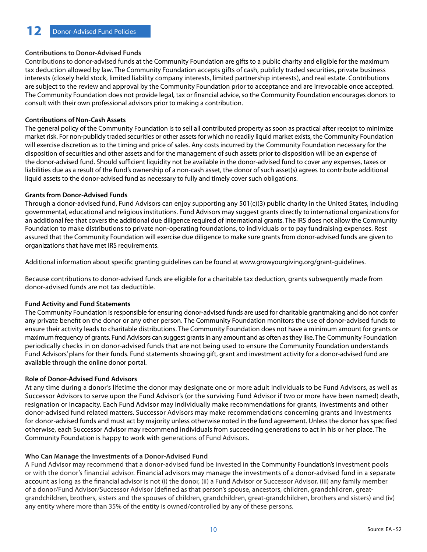# **Contributions to Donor-Advised Funds**

Contributions to donor-advised funds at the Community Foundation are gifts to a public charity and eligible for the maximum tax deduction allowed by law. The Community Foundation accepts gifts of cash, publicly traded securities, private business interests (closely held stock, limited liability company interests, limited partnership interests), and real estate. Contributions are subject to the review and approval by the Community Foundation prior to acceptance and are irrevocable once accepted. The Community Foundation does not provide legal, tax or financial advice, so the Community Foundation encourages donors to consult with their own professional advisors prior to making a contribution.

## **Contributions of Non-Cash Assets**

The general policy of the Community Foundation is to sell all contributed property as soon as practical after receipt to minimize market risk. For non-publicly traded securities or other assets for which no readily liquid market exists, the Community Foundation will exercise discretion as to the timing and price of sales. Any costs incurred by the Community Foundation necessary for the disposition of securities and other assets and for the management of such assets prior to disposition will be an expense of the donor-advised fund. Should sufficient liquidity not be available in the donor-advised fund to cover any expenses, taxes or liabilities due as a result of the fund's ownership of a non-cash asset, the donor of such asset(s) agrees to contribute additional liquid assets to the donor-advised fund as necessary to fully and timely cover such obligations.

## **Grants from Donor-Advised Funds**

Through a donor-advised fund, Fund Advisors can enjoy supporting any 501(c)(3) public charity in the United States, including governmental, educational and religious institutions. Fund Advisors may suggest grants directly to international organizations for an additional fee that covers the additional due diligence required of international grants. The IRS does not allow the Community Foundation to make distributions to private non-operating foundations, to individuals or to pay fundraising expenses. Rest assured that the Community Foundation will exercise due diligence to make sure grants from donor-advised funds are given to organizations that have met IRS requirements.

Additional information about specific granting guidelines can be found at www.growyourgiving.org/grant-guidelines.

Because contributions to donor-advised funds are eligible for a charitable tax deduction, grants subsequently made from donor-advised funds are not tax deductible.

# **Fund Activity and Fund Statements**

The Community Foundation is responsible for ensuring donor-advised funds are used for charitable grantmaking and do not confer any private benefit on the donor or any other person. The Community Foundation monitors the use of donor-advised funds to ensure their activity leads to charitable distributions. The Community Foundation does not have a minimum amount for grants or maximum frequency of grants. Fund Advisors can suggest grants in any amount and as often as they like. The Community Foundation periodically checks in on donor-advised funds that are not being used to ensure the Community Foundation understands Fund Advisors' plans for their funds. Fund statements showing gift, grant and investment activity for a donor-advised fund are available through the online donor portal.

## **Role of Donor-Advised Fund Advisors**

At any time during a donor's lifetime the donor may designate one or more adult individuals to be Fund Advisors, as well as Successor Advisors to serve upon the Fund Advisor's (or the surviving Fund Advisor if two or more have been named) death, resignation or incapacity. Each Fund Advisor may individually make recommendations for grants, investments and other donor-advised fund related matters. Successor Advisors may make recommendations concerning grants and investments for donor-advised funds and must act by majority unless otherwise noted in the fund agreement. Unless the donor has specified otherwise, each Successor Advisor may recommend individuals from succeeding generations to act in his or her place. The Community Foundation is happy to work with generations of Fund Advisors.

## **Who Can Manage the Investments of a Donor-Advised Fund**

A Fund Advisor may recommend that a donor-advised fund be invested in the Community Foundation's investment pools or with the donor's financial advisor. Financial advisors may manage the investments of a donor-advised fund in a separate account as long as the financial advisor is not (i) the donor, (ii) a Fund Advisor or Successor Advisor, (iii) any family member of a donor/Fund Advisor/Successor Advisor (defined as that person's spouse, ancestors, children, grandchildren, greatgrandchildren, brothers, sisters and the spouses of children, grandchildren, great-grandchildren, brothers and sisters) and (iv) any entity where more than 35% of the entity is owned/controlled by any of these persons.